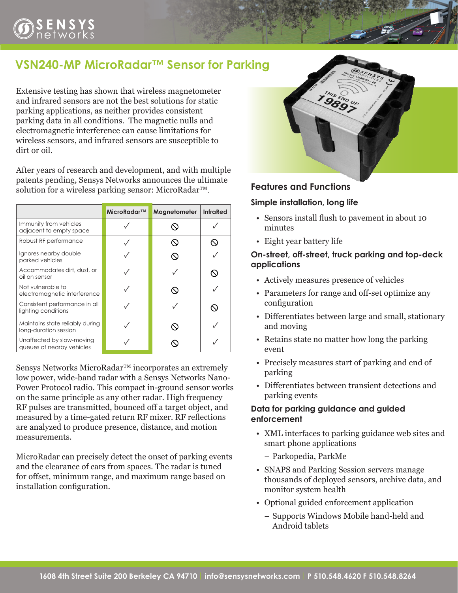# **VSN240-MP MicroRadar™ Sensor for Parking**

Extensive testing has shown that wireless magnetometer and infrared sensors are not the best solutions for static parking applications, as neither provides consistent parking data in all conditions. The magnetic nulls and electromagnetic interference can cause limitations for wireless sensors, and infrared sensors are susceptible to dirt or oil.

After years of research and development, and with multiple patents pending, Sensys Networks announces the ultimate solution for a wireless parking sensor: MicroRadar™.

|                                                          | MicroRadar™ | Magnetometer | <b>InfraRed</b> |
|----------------------------------------------------------|-------------|--------------|-----------------|
| Immunity from vehicles<br>adjacent to empty space        |             |              |                 |
| Robust RF performance                                    |             |              |                 |
| Ignores nearby double<br>parked vehicles                 |             |              |                 |
| Accommodates dirt, dust, or<br>oil on sensor             |             |              |                 |
| Not vulnerable to<br>electromagnetic interference        |             |              |                 |
| Consistent performance in all<br>lighting conditions     |             |              |                 |
| Maintains state reliably during<br>long-duration session |             |              |                 |
| Unaffected by slow-moving<br>queues of nearby vehicles   |             |              |                 |

Sensys Networks MicroRadar<sup>™</sup> incorporates an extremely low power, wide-band radar with a Sensys Networks Nano-Power Protocol radio. This compact in-ground sensor works on the same principle as any other radar. High frequency RF pulses are transmitted, bounced off a target object, and measured by a time-gated return RF mixer. RF reflections are analyzed to produce presence, distance, and motion measurements.

MicroRadar can precisely detect the onset of parking events and the clearance of cars from spaces. The radar is tuned for offset, minimum range, and maximum range based on installation configuration.



## **Features and Functions**

## **Simple installation, long life**

- • Sensors install flush to pavement in about 10 minutes
- Eight year battery life

## **On-street, off-street, truck parking and top-deck applications**

- • Actively measures presence of vehicles
- Parameters for range and off-set optimize any configuration
- Differentiates between large and small, stationary and moving
- Retains state no matter how long the parking event
- • Precisely measures start of parking and end of parking
- • Differentiates between transient detections and parking events

## **Data for parking guidance and guided enforcement**

- XML interfaces to parking guidance web sites and smart phone applications
	- Parkopedia, ParkMe
- SNAPS and Parking Session servers manage thousands of deployed sensors, archive data, and monitor system health
- • Optional guided enforcement application
	- Supports Windows Mobile hand-held and Android tablets